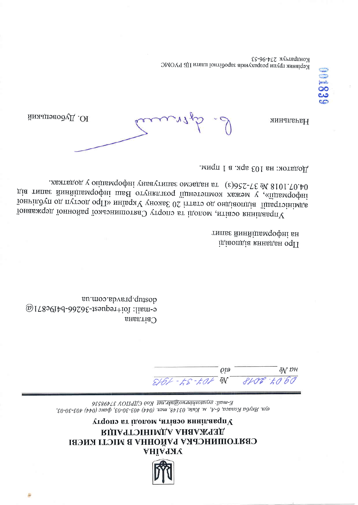

### управник сведим и прогом спорту **ВІПАЧТОІНІМІДА АНАДЖЧАІД** СВАТОШИНСЬКА РАЙОННА В МІСТІ КИЄВІ АКРАНА

E-mail: *Svyaloshinruo@ukr.net Koo CJIPIIOY 37498536* e/νη. Ακγόα Κοπαςα, 6-Α, Μ. Κυίε, 03148, men. (044) 403-30-03, φακς (044) 403-30-03,

 $\rho$ <sub>19</sub> ōN  ${\it DH}$  $2166 - 52 - 506$  $8106.7060$ 

au.moo.abvarq.quizob  $\omega$ IL80GIbd-90S0E-1souportion: liam-9 CBITIAH<sub>a</sub> типве йинйішемдофні вн ідіаопдіа кннядан оф11

лехтвдод у оцивмоофні уначутипь омэвден вт (ε) 022-78 д/ 8101.70.40 діа типає йинйінвмоофні шве отуналтеор їіднэтэпмом хвжэм у «їїдвмоофні їониіподп од путоод офП» инівах у уноже 02 іттвто од ондіаопдіа гішеттонімде Управждэд їоннойво гомолето Утропинської районної державної

Додаток: на 103 арк. в 1 прим.

l. drivin

Ю. Дубовецький

Начальник

Кондратчук 274-96-53 МОУЧ АЈЛ итвии гонтідоць заменної плати ЦБ РУОМС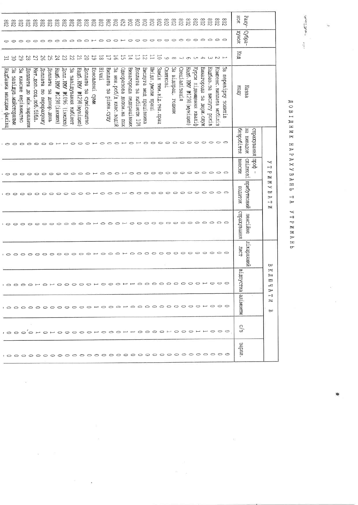|                         | 803<br>803                 | $\frac{8}{60}$           |                          | 708                      |                        | 805808                 |                         |                         |                        |                           | 8888                   | $z_{08}$                                  | 708            |                           | $\begin{smallmatrix}88\\80\\8\end{smallmatrix}$ | $\mathcal{E}2$                   |                            |                            | 8888                   | 208                  |                           | $\overline{508}$ | Z08                                 | 208           | Z08                          | Z08                     | 208                        | 208                         | 208                      | 208                              | HOK               | Paxy-        |                      |                                                 |
|-------------------------|----------------------------|--------------------------|--------------------------|--------------------------|------------------------|------------------------|-------------------------|-------------------------|------------------------|---------------------------|------------------------|-------------------------------------------|----------------|---------------------------|-------------------------------------------------|----------------------------------|----------------------------|----------------------------|------------------------|----------------------|---------------------------|------------------|-------------------------------------|---------------|------------------------------|-------------------------|----------------------------|-----------------------------|--------------------------|----------------------------------|-------------------|--------------|----------------------|-------------------------------------------------|
|                         |                            |                          |                          |                          |                        |                        |                         |                         |                        |                           |                        |                                           |                |                           |                                                 |                                  |                            |                            |                        |                      |                           |                  |                                     |               |                              |                         |                            |                             |                          |                                  | хонлх             | <b>Cyppa</b> |                      |                                                 |
| ξ                       | ိင္က                       | 29                       | 82                       |                          |                        | $3348822$              |                         |                         | z                      | $\overline{\overline{L}}$ | $\infty$               | $\overline{5}$                            | $\overline{8}$ | $\Box$                    | $5\overline{0}$                                 | 능                                | $\overline{4}$             | $\vec{\omega}$             | $\overline{z}$         |                      | 5                         |                  | $U \circ U \circ U \circ U \circ U$ |               |                              |                         |                            |                             |                          |                                  | Kon               |              |                      |                                                 |
| Надбавка молодим фахівц | 3g<br>завілув. майстернями | 53<br>класне керівництво | Доплата до мін. зарплати | Mar. non. cou. no6.6i6n. | Доплата по перерахунку | Поплата за донор. день | HanG.KNY W1298 (inknes) | допл. КМУ №1096 (інклюз | За завідування кабінет | Hang. KNY W1298 (MyHiuyn  | Доплата за сумісництво | Поновлені<br>መለጋ                          | <b>THE TH</b>  | Brindara<br>за ртшен суду | За нен.роб/д клас.водій                         | раосердонто<br>допом. на пох     | Винаторода<br>педпрацівник | Цоплата<br>за кабінети 108 | Вислуга мед працівника | Iki, дл. умови праці | Samih TMM. Bil. Tex. npau | CBSTPKOB1        | За відпрац. години                  | Cneulanisaula | Hago. RN<br>(шилтним) 867 ГМ | Курси підвищення кваліф | Винаторода<br>sa держ.служ | Надбав. за<br>вислугу років | Компенс. виплата мобіліз | ယ္က<br>перевірку<br>strumos      | KOHV              | Hasba        |                      |                                                 |
|                         |                            | 0                        | ⊂                        | 0                        | $\circ$                | っ                      |                         |                         | ⊖                      | $\circ$                   |                        | $\circ \mapsto \circ \circ \circ \mapsto$ |                |                           |                                                 |                                  | $\circ$                    |                            |                        |                      |                           |                  | 00000000000                         |               |                              |                         |                            |                             |                          |                                  | <b>Gespo6irra</b> | Η<br>ходепма | кнеа<br>Хердтэ       |                                                 |
|                         | $\circ$                    | $\circ$                  |                          |                          |                        |                        |                         |                         |                        |                           |                        |                                           |                |                           |                                                 |                                  |                            |                            |                        |                      |                           |                  |                                     | $\circ$       | $\Rightarrow$                | $\circ$                 |                            |                             |                          | $\circ \circ \circ \circ$        | <b>BHeCKW</b>     | спілкові     | poqn<br>$\mathbf{I}$ | ∽<br>Ţ<br>ά<br>N                                |
|                         |                            |                          | ⇔                        | 0                        | っ                      | $\circ$                | $\circ$                 |                         |                        |                           |                        | $\circ\circ\circ\circ\vdash$              | $\circ$        | $\Rightarrow$             |                                                 |                                  |                            |                            |                        |                      |                           |                  |                                     |               |                              |                         | $\circ$                    | $\circ$                     | $\circ$                  | $\circ$                          | иоленоп           | прибутковий  |                      | $\approx$<br>R<br>ω<br>⊳<br>⊶<br>N              |
|                         |                            |                          |                          |                          |                        |                        |                         |                         |                        |                           |                        |                                           |                |                           |                                                 | $\circ$ $\overline{\phantom{0}}$ | $\circ$                    | $\circ$                    | $\circ$                | $\circ$              |                           |                  | $\circ \circ \circ \circ \circ$     |               |                              | $\circ$                 | $\circ$                    |                             | $\circ$ $\circ$          | ⊝                                | рахуватия         |              | пенсійне             |                                                 |
|                         |                            |                          |                          |                          |                        |                        |                         |                         |                        |                           |                        |                                           |                |                           |                                                 |                                  |                            |                            |                        |                      |                           |                  |                                     |               |                              |                         |                            |                             |                          |                                  | <b>TNCT</b>       |              | <b>ймн</b> нирати    | ₩                                               |
|                         | , 0000000000000            |                          |                          |                          |                        |                        |                         |                         |                        |                           |                        |                                           |                |                           |                                                 |                                  |                            |                            |                        |                      |                           |                  |                                     |               |                              |                         |                            |                             |                          |                                  | ртшус             | йка          |                      | ≍<br>$\blacksquare$<br>3<br>صر<br>$\Rightarrow$ |
|                         |                            |                          |                          |                          |                        |                        |                         |                         |                        |                           |                        |                                           |                |                           |                                                 |                                  |                            |                            |                        |                      |                           |                  |                                     |               |                              |                         |                            |                             |                          |                                  |                   | аліменти     |                      | ⊣∃<br>$\simeq$<br>ω                             |
|                         |                            |                          |                          |                          |                        |                        |                         |                         |                        |                           |                        |                                           |                |                           |                                                 |                                  |                            |                            |                        |                      |                           |                  |                                     |               |                              |                         |                            |                             |                          | OOO'OHOHOOOOOHOOOHHOOOOHOOOHHOOO |                   | $\epsilon/2$ |                      |                                                 |
|                         |                            |                          |                          |                          |                        |                        |                         |                         |                        |                           |                        |                                           |                |                           |                                                 |                                  |                            |                            |                        |                      |                           |                  |                                     |               |                              |                         |                            |                             |                          |                                  |                   | sapm.        |                      |                                                 |

 $\mathbf{r}$ 

 $\widetilde{\omega}$ 

 $\bar{t}$ 

A C B I A H M K H A P A X Y B A H L A V T P M M A H L

 $\mathbb{R}^2$ 

 $\frac{\partial}{\partial t}$ 

 $\hat{Q}$ 

 $\tilde{\nu}$ 

 $\frac{1}{2}$ 

 $\label{eq:1} \text{and} \quad \text{and} \quad \text{and}$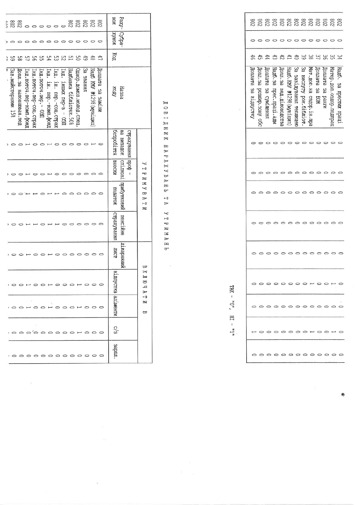|                      | $\begin{array}{c} 288 \\ 208 \end{array}$ |                            |                           |                       | $\circ$                  | $\circ$                                           |                        | 802<br>802             |                            | 208        | 208                     | 208                                     | HOK               | Paxy- Cyopa-          |                   |                                     |  |
|----------------------|-------------------------------------------|----------------------------|---------------------------|-----------------------|--------------------------|---------------------------------------------------|------------------------|------------------------|----------------------------|------------|-------------------------|-----------------------------------------|-------------------|-----------------------|-------------------|-------------------------------------|--|
|                      |                                           |                            | っ                         |                       | ¢                        | 0                                                 | っ                      | $\circ$                | $\circ$                    | っ          | $\circ$                 | $\circ$                                 | <b>XOHAX</b>      |                       |                   |                                     |  |
|                      | ပ္တ                                       | 51                         | 95                        |                       | 54                       | င္ယာ                                              | ξS                     | $\overline{L}$         | g                          | 49         | $\frac{4}{8}$           |                                         | ЙÛ                |                       |                   |                                     |  |
| Зав. майстернями 158 | Допл. за наповнюван. пед                  | Гнд.пор-комп.роч.пер-комп. | ид. поточ. пер-соц. страх | Iнд.поточ.пер. - 03II | Гнд. ін. пер. комп. фонд | Інд. ін. пер. соц. страх                          | Інд. інших пер-в - ОЗП | Hanбaвка бібліотек.50% | Однор. домол. молод. спец. | BHHEAS 65  | Надб КМУ №1298 (муніцип | MILLAGE SS Sakilm                       | <b>KOAV</b>       | Hasaa                 |                   |                                     |  |
|                      |                                           |                            | c                         |                       |                          |                                                   |                        |                        |                            |            |                         |                                         | <b>Sespobirra</b> | на випадок   спілкові | - фоdц кннаихеdдо |                                     |  |
|                      |                                           |                            | $\circ$                   | $\circ$               | ∸<br>۴                   | $\Rightarrow$                                     | 0                      | 0                      | $\circ$                    | 0          | 0                       | $\Rightarrow$                           | <b>BHeCKW</b>     |                       |                   | )<br>ط<br>ro<br>$\mathbf{z}$        |  |
|                      |                                           |                            |                           |                       |                          |                                                   |                        |                        |                            |            |                         |                                         | лотецоп           | прибутковий           |                   | $\approx$<br>≺<br>₩<br>À<br>H<br>И  |  |
|                      |                                           |                            |                           |                       |                          |                                                   |                        |                        |                            |            | 0                       | ⊂                                       | кнная ування      | пенсійне              |                   |                                     |  |
|                      |                                           |                            |                           |                       |                          |                                                   |                        |                        |                            |            | 0                       | 0                                       | <b>JINCT</b>      | ининовнати            |                   | ₩                                   |  |
|                      |                                           |                            |                           |                       |                          |                                                   |                        |                        |                            |            |                         | ooroorooorooo                           | l Binny<br>CTKa   |                       |                   | $\mathbb{I}$ $\mathbb{I}$<br>ص<br>À |  |
|                      |                                           |                            |                           |                       |                          | 00 H O O H O O                                    |                        | $\circ$                |                            |            |                         | $\overline{\phantom{a}}\circ\circ\circ$ | иднэмстие         |                       |                   | ⊶<br>≍<br>₩                         |  |
|                      |                                           |                            |                           |                       |                          |                                                   |                        |                        |                            |            |                         | 000'0000000000                          | c/3               |                       |                   |                                     |  |
|                      |                                           |                            |                           |                       |                          | $\circ \circ \circ \circ \circ \circ \circ \circ$ |                        |                        |                            | $\bigcirc$ |                         | $\circ$ $\circ$                         | mdes              |                       |                   |                                     |  |

 $\frac{1}{2}$ 

i.

 $\bar{z}$ 

**ДОВІДНИК НАРАХУВАНЬ ТА VTPNNAHH** 

 $\bar{\beta}$ 

|                    |                             |                          |                        |                              |                          |                             |                               |                             |                          |                  | 0                       |                            |
|--------------------|-----------------------------|--------------------------|------------------------|------------------------------|--------------------------|-----------------------------|-------------------------------|-----------------------------|--------------------------|------------------|-------------------------|----------------------------|
| $\overline{6}$     | ਹੀ<br>ਹ                     | 44                       | £                      | 75                           | $^{41}$                  | ិ                           | 8238                          |                             |                          |                  | ပ္ပ                     | $\approx$                  |
| Куподнита ва влано | Iопл. за<br>posmon.souy obc | horinara<br>за сумдщення | Hano.sa прес.праці.адм | Допл. за<br>вед. діловодства | HanG.KNY W1298 (MyHiuyn) | ట్ల<br>завідування теплицею | 8g<br>BNCJIYTY pok. 616Jilor. | Мат. дол. на оздор. лн. пра | Lounara sa<br><b>NOT</b> | Доплата за ранги | Матер.доп.оздор.педпрац | Hano.<br>sa mbecnwa mbarit |
|                    |                             |                          |                        |                              |                          |                             |                               |                             |                          |                  |                         |                            |
|                    |                             |                          |                        |                              |                          |                             |                               |                             |                          |                  |                         |                            |
|                    |                             |                          |                        |                              |                          |                             |                               |                             |                          |                  |                         |                            |
|                    |                             |                          |                        |                              |                          |                             |                               |                             |                          |                  |                         |                            |
|                    |                             |                          |                        |                              |                          |                             |                               |                             |                          |                  |                         |                            |
|                    |                             |                          |                        | $\circ$ $\circ$ $\circ$      |                          |                             | O                             | مسمو                        | $\supset$                |                  | ۴                       |                            |
|                    |                             |                          |                        |                              |                          |                             |                               |                             |                          |                  |                         | C                          |
|                    |                             |                          |                        |                              |                          | っ                           | っ                             | t.                          |                          |                  | $\mathbf{r}$            | ⊂                          |
|                    |                             |                          | $\circ$                |                              | 00000000                 |                             |                               |                             |                          |                  |                         | 0                          |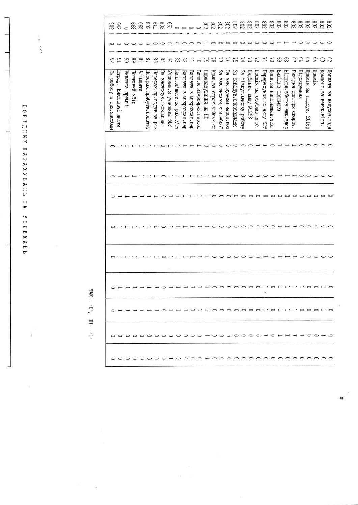*AOBIANK HAPAXYBAHb TA YTPMMAHb* 

b

| <b>Z08</b>                       | C42                               |                                  | 899 | 202      |                         | 2820000                 |                        |                            |                              |                                         |                                       |                           |                                               | 802<br>802<br>802                  |                                  |                                | $z_{08}$                      | 88888888<br>2223888              |                               |                                         |                         |                           |                            |                           | $\frac{800}{200}$       |             | 208                               | 208                       | $rac{208}{2}$               | 208                          |
|----------------------------------|-----------------------------------|----------------------------------|-----|----------|-------------------------|-------------------------|------------------------|----------------------------|------------------------------|-----------------------------------------|---------------------------------------|---------------------------|-----------------------------------------------|------------------------------------|----------------------------------|--------------------------------|-------------------------------|----------------------------------|-------------------------------|-----------------------------------------|-------------------------|---------------------------|----------------------------|---------------------------|-------------------------|-------------|-----------------------------------|---------------------------|-----------------------------|------------------------------|
|                                  |                                   |                                  |     |          |                         | 0000000                 |                        |                            |                              |                                         |                                       |                           |                                               |                                    |                                  |                                |                               | 000000HH0000                     |                               |                                         |                         |                           |                            |                           |                         |             |                                   |                           |                             |                              |
| 26                               | $\approx$                         | క                                | 68  | 88       | $\frac{8}{1}$           | 98                      | 89                     | 84                         | င္လာ                         | $\mathbb{Z}^8$                          | $^{18}$                               | $\infty$                  | 57                                            | $\approx$                          | $\mathcal{I}$                    | $\approx$                      | 57                            | $\mathbb{Z}$                     | $\tilde{\omega}$              | $\overline{z}$                          |                         | $\geq$                    | ි                          | œ,                        | $\mathfrak{S}$          | <u>යි ස</u> |                                   | 2 ಬಿ                      |                             | ని                           |
| ပ္ထ<br>pobory s<br>IIes. sacoóak | Штраф. Виконавчі<br><b>JIKCTM</b> | Поштовий збір<br> Виплата преміі |     | Аліменти | Перерах прибутк податку | Tepepax.np.nonar.sa pik | За застосув. іноз мови | Утриман. з<br>үчасника ФБУ | Випл. л/лист. за<br>pax.c/cr | Burnara<br>$\omega$<br>dau · xedaodx rm | Briniara<br>$\sigma$<br>Maxpospax.nep | Вицл. в міжрозрах. період | Герерахування<br>H<br>$\overline{\mathbf{a}}$ | Комп. за строк. військ. сл         | ပ္မွာ<br>зав. тирами, кли. зброї | ပ္ထ<br>TON. Alyse M Hapor, Kon | ယ္လ္<br>NAMERICOLO - SQL TAGE | မ္မ<br>Флэкул.масову роботу      | Надбавка<br><b>КМДУ №1298</b> | Tpewis sa<br>особлив. внес              | Терерахунок по акту КРУ | Допл. за наповнюван. тех. | <b>ВИДТХИЕ</b><br>етомопод | Відшкод. Збитку ушк. здор | Вихідна доп.при скороч. | Відрядження | Премія<br>g<br>B<br>підсум. 2016р | Премія                    | Компенс. за<br>невик. відп. | Acumara<br>g<br>ндоч. годиен |
|                                  |                                   |                                  |     |          |                         |                         |                        | $\circ$ $\mapsto$          |                              |                                         |                                       | - - - -                   |                                               | OOOOOOOH H OH                      |                                  |                                |                               |                                  |                               |                                         |                         |                           |                            |                           |                         |             | - - - - - - - -                   |                           |                             |                              |
|                                  |                                   |                                  |     |          |                         |                         |                        |                            |                              |                                         |                                       |                           |                                               |                                    |                                  |                                |                               | O O O O O O O O O HHOOOO         |                               |                                         |                         |                           |                            |                           |                         |             |                                   |                           |                             |                              |
|                                  | $\overline{ }$                    |                                  |     |          |                         |                         |                        |                            |                              |                                         |                                       |                           |                                               | $\circ$                            | $\Rightarrow$                    |                                |                               |                                  |                               |                                         |                         |                           |                            |                           |                         |             |                                   |                           |                             |                              |
|                                  |                                   |                                  |     |          |                         |                         |                        |                            |                              |                                         |                                       |                           |                                               |                                    |                                  |                                |                               | $\circ\circ\circ\circ\circ\circ$ |                               | $\circ$ $\circ$ $\circ$ $\circ$ $\circ$ |                         |                           |                            |                           |                         |             |                                   | $\circ \circ \circ \circ$ |                             |                              |
|                                  |                                   |                                  |     |          |                         |                         |                        |                            |                              |                                         |                                       |                           |                                               |                                    | っ                                |                                | $\circ$ $\circ$               | $\circ$                          | $\circ$                       | $\circ$                                 |                         | 0                         |                            |                           |                         | 0           | $\circ$                           | $\circ$                   |                             |                              |
|                                  |                                   |                                  |     |          |                         |                         |                        |                            |                              |                                         |                                       |                           |                                               |                                    |                                  |                                |                               |                                  |                               |                                         |                         |                           |                            |                           |                         |             |                                   |                           |                             |                              |
|                                  |                                   |                                  |     |          |                         |                         |                        |                            |                              |                                         |                                       |                           |                                               | 0 10001110100000000000000000000000 |                                  |                                |                               |                                  |                               |                                         |                         |                           |                            |                           |                         |             |                                   |                           |                             |                              |
|                                  |                                   |                                  |     |          |                         |                         |                        |                            |                              |                                         |                                       |                           |                                               |                                    |                                  |                                |                               |                                  |                               |                                         |                         |                           |                            |                           |                         |             |                                   |                           |                             |                              |
|                                  |                                   |                                  |     |          |                         |                         |                        |                            |                              |                                         |                                       |                           |                                               |                                    |                                  |                                |                               |                                  |                               |                                         |                         |                           |                            |                           |                         |             |                                   |                           |                             |                              |

ò.

 $\label{eq:1} \text{TRK} = \ ^{00}\text{O} \ , \quad \text{H1} = \ ^{01}\text{H}$ 

 $\bar{t}$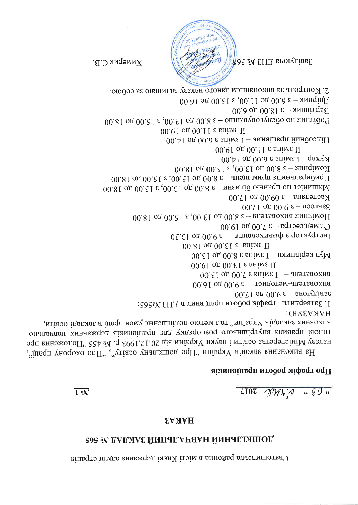Святопинська районна в місті Києві державна адміністрація

## **S9S & LAIRAAS HAHAILAHAS SASAS**

### **HAKA3**

 $T102 \sqrt{3}$   $\sqrt{9}$   $\sqrt{9}$   $\sqrt{9}$   $\sqrt{9}$ 

**T** on

### про графік booorn працівників

00.71 og 00.9  $\varepsilon$  – sporygias $\varepsilon$ 1. Затвердити графік роботи працівників ДНЗ №565: **HAKA3VIO:** е или закладу у видели в сетото полнитенни умов праці в закладі освіти, -онаперавн хинавжоед аімнаіньоп влд улдвоопгоо отоаншістуна впиавоп іаопит чаказу Міністерства освіти і науки Уираїни від 20.12.1993 р. № 455 "Положення про "чивот унорохо офП" "утівоо унапіяшод офП" ннівся у віноже внивножив вН

2. Контроль за виконанням даного наказу залишаю за собою. 00.01 од 00.ε1 ε ,00.11 од 00.∂ ε – яннојаД 00.0 од 00.81  $\varepsilon$  – жинајт $q$ в $H$  $00.81$  од 00.21 е ,00.51 од 00.8 е – онны аутого оп жинтідо<sup>ц</sup> 00.01 од 00.11 е вніме П  $00.41$  од 00.0 е вніме I – яннашвоп йиндооді11 00.01 on 00.11 ε shine II 00.41 οπ 00.6 ε shine  $I -$ qsxγ $X$ 00.81 on 00.21  $\varepsilon$ ,00.51 on 00.8  $\varepsilon$  – ANH qino M 00.81 од 00.21  $\varepsilon$ ,00.21 од 00.8  $\varepsilon$  – анэшимет влинатвоиод $\Pi$ 00.81 од 00.61  $\varepsilon$ ,00.61 од 00.8  $\varepsilon$  – ингипид онны оп тоинишеМ 00.71 од 00.60  $\varepsilon$  – вникатов $\lambda$ 00.71 од 00.9  $\varepsilon$  – поотав $\varepsilon$ 00.81 од 00.21  $\varepsilon$ ,00.61 од 00.8  $\varepsilon$  – впотваохиа яннимо $\Pi$ U. Men. cecτpa – 3 7.00 μο 19.00  $0\epsilon$ .  $\epsilon$ 1 од 00. е — вниваохиа $\epsilon$ и е дотукатон 00.81 on 00.81  $\varepsilon$  shine II  $0.61$  од 00.8 е вніме I – изинаидэх е $\gamma$ М 00.01 on 00.61  $\varepsilon$  shime II 00.61 од 00.7 е вніме I — апэтваохиа 00.01 од 00.0  $\varepsilon$  - томдотэм-апэтваохиа

Химерик С.В.

 $40$ c en EHIL sporynias E